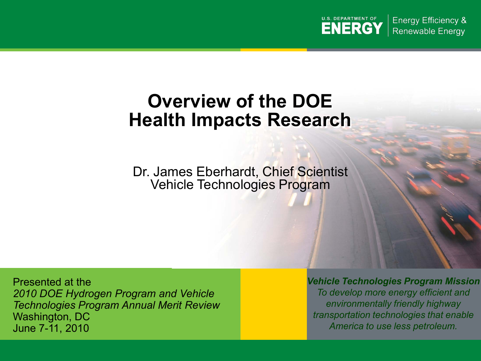

**Energy Efficiency & Renewable Energy** 

## **Overview of the DOE Health Impacts Research**

Dr. James Eberhardt, Chief Scientist Vehicle Technologies Program

Presented at the *2010 DOE Hydrogen Program and Vehicle Technologies Program Annual Merit Review*  Washington, DC June 7-11, 2010

*Vehicle Technologies Program Mission To develop more energy efficient and environmentally friendly highway transportation technologies that enable America to use less petroleum.*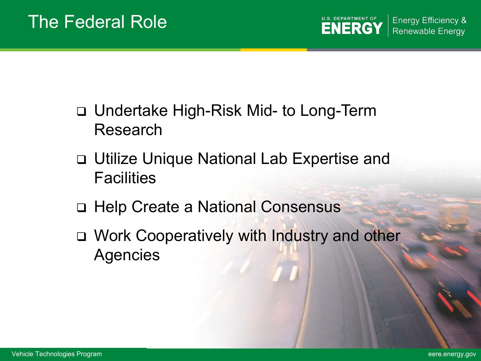- □ Undertake High-Risk Mid- to Long-Term Research
- Utilize Unique National Lab Expertise and **Facilities**
- Help Create a National Consensus
- □ Work Cooperatively with Industry and other Agencies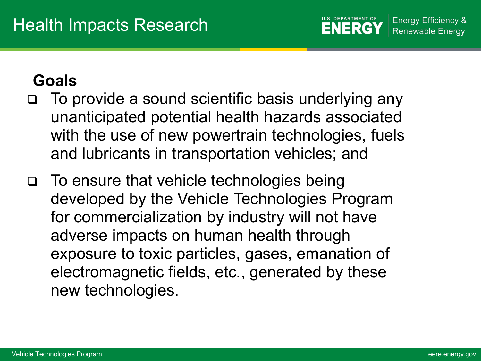## **Goals**

- To provide a sound scientific basis underlying any unanticipated potential health hazards associated with the use of new powertrain technologies, fuels and lubricants in transportation vehicles; and
- To ensure that vehicle technologies being developed by the Vehicle Technologies Program for commercialization by industry will not have adverse impacts on human health through exposure to toxic particles, gases, emanation of electromagnetic fields, etc., generated by these new technologies.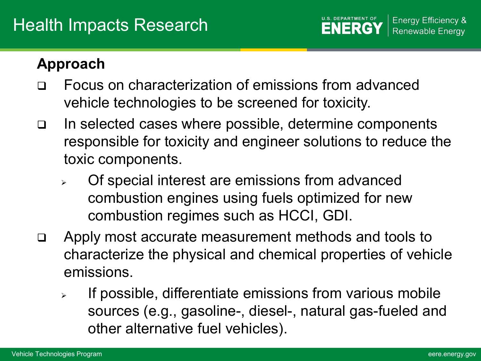## **Approach**

- Focus on characterization of emissions from advanced vehicle technologies to be screened for toxicity.
- In selected cases where possible, determine components responsible for toxicity and engineer solutions to reduce the toxic components.
	- Of special interest are emissions from advanced combustion engines using fuels optimized for new combustion regimes such as HCCI, GDI.
- Apply most accurate measurement methods and tools to characterize the physical and chemical properties of vehicle emissions.
	- $\triangleright$  If possible, differentiate emissions from various mobile sources (e.g., gasoline-, diesel-, natural gas-fueled and other alternative fuel vehicles).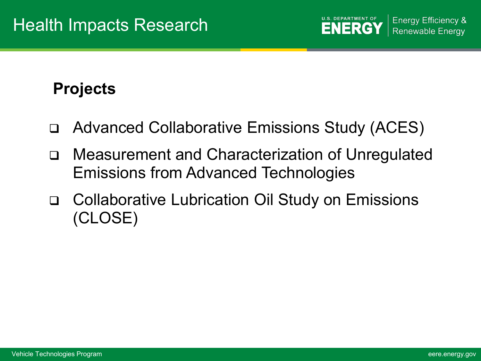## **Projects**

- Advanced Collaborative Emissions Study (ACES)
- Measurement and Characterization of Unregulated Emissions from Advanced Technologies
- Collaborative Lubrication Oil Study on Emissions (CLOSE)